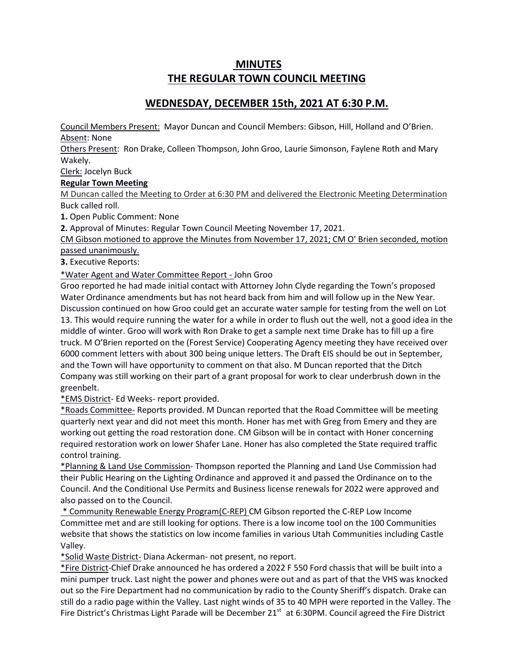# **MINUTES THE REGULAR TOWN COUNCIL MEETING**

## **WEDNESDAY, DECEMBER 15th, 2021 AT 6:30 P.M.**

Council Members Present: Mayor Duncan and Council Members: Gibson, Hill, Holland and O'Brien. Absent: None

Others Present: Ron Drake, Colleen Thompson, John Groo, Laurie Simonson, Faylene Roth and Mary Wakely.

Clerk: Jocelyn Buck

### **Regular Town Meeting**

M Duncan called the Meeting to Order at 6:30 PM and delivered the Electronic Meeting Determination Buck called roll.

**1.** Open Public Comment: None

**2.** Approval of Minutes: Regular Town Council Meeting November 17, 2021.

CM Gibson motioned to approve the Minutes from November 17, 2021; CM O' Brien seconded, motion passed unanimously.

**3.** Executive Reports:

\*Water Agent and Water Committee Report - John Groo

Groo reported he had made initial contact with Attorney John Clyde regarding the Town's proposed Water Ordinance amendments but has not heard back from him and will follow up in the New Year. Discussion continued on how Groo could get an accurate water sample for testing from the well on Lot 13. This would require running the water for a while in order to flush out the well, not a good idea in the middle of winter. Groo will work with Ron Drake to get a sample next time Drake has to fill up a fire truck. M O'Brien reported on the (Forest Service) Cooperating Agency meeting they have received over 6000 comment letters with about 300 being unique letters. The Draft EIS should be out in September, and the Town will have opportunity to comment on that also. M Duncan reported that the Ditch Company was still working on their part of a grant proposal for work to clear underbrush down in the greenbelt.

\*EMS District- Ed Weeks- report provided.

\*Roads Committee- Reports provided. M Duncan reported that the Road Committee will be meeting quarterly next year and did not meet this month. Honer has met with Greg from Emery and they are working out getting the road restoration done. CM Gibson will be in contact with Honer concerning required restoration work on lower Shafer Lane. Honer has also completed the State required traffic control training.

\*Planning & Land Use Commission- Thompson reported the Planning and Land Use Commission had their Public Hearing on the Lighting Ordinance and approved it and passed the Ordinance on to the Council. And the Conditional Use Permits and Business license renewals for 2022 were approved and also passed on to the Council.

\* Community Renewable Energy Program(C-REP) CM Gibson reported the C-REP Low Income Committee met and are still looking for options. There is a low income tool on the 100 Communities website that shows the statistics on low income families in various Utah Communities including Castle Valley.

\*Solid Waste District- Diana Ackerman- not present, no report.

\*Fire District-Chief Drake announced he has ordered a 2022 F 550 Ford chassis that will be built into a mini pumper truck. Last night the power and phones were out and as part of that the VHS was knocked out so the Fire Department had no communication by radio to the County Sheriff's dispatch. Drake can still do a radio page within the Valley. Last night winds of 35 to 40 MPH were reported in the Valley. The Fire District's Christmas Light Parade will be December 21<sup>st</sup> at 6:30PM. Council agreed the Fire District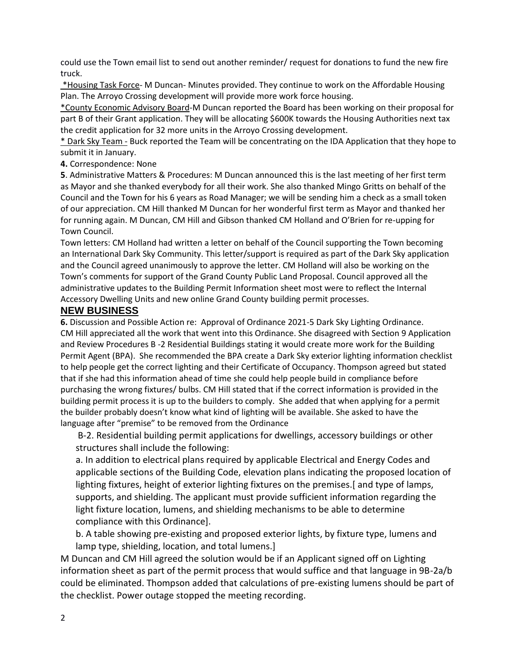could use the Town email list to send out another reminder/ request for donations to fund the new fire truck.

\*Housing Task Force- M Duncan- Minutes provided. They continue to work on the Affordable Housing Plan. The Arroyo Crossing development will provide more work force housing.

\*County Economic Advisory Board-M Duncan reported the Board has been working on their proposal for part B of their Grant application. They will be allocating \$600K towards the Housing Authorities next tax the credit application for 32 more units in the Arroyo Crossing development.

\* Dark Sky Team - Buck reported the Team will be concentrating on the IDA Application that they hope to submit it in January.

**4.** Correspondence: None

**5**. Administrative Matters & Procedures: M Duncan announced this is the last meeting of her first term as Mayor and she thanked everybody for all their work. She also thanked Mingo Gritts on behalf of the Council and the Town for his 6 years as Road Manager; we will be sending him a check as a small token of our appreciation. CM Hill thanked M Duncan for her wonderful first term as Mayor and thanked her for running again. M Duncan, CM Hill and Gibson thanked CM Holland and O'Brien for re-upping for Town Council.

Town letters: CM Holland had written a letter on behalf of the Council supporting the Town becoming an International Dark Sky Community. This letter/support is required as part of the Dark Sky application and the Council agreed unanimously to approve the letter. CM Holland will also be working on the Town's comments for support of the Grand County Public Land Proposal. Council approved all the administrative updates to the Building Permit Information sheet most were to reflect the Internal Accessory Dwelling Units and new online Grand County building permit processes.

### **NEW BUSINESS**

**6.** Discussion and Possible Action re: Approval of Ordinance 2021-5 Dark Sky Lighting Ordinance. CM Hill appreciated all the work that went into this Ordinance. She disagreed with Section 9 Application and Review Procedures B -2 Residential Buildings stating it would create more work for the Building Permit Agent (BPA). She recommended the BPA create a Dark Sky exterior lighting information checklist to help people get the correct lighting and their Certificate of Occupancy. Thompson agreed but stated that if she had this information ahead of time she could help people build in compliance before purchasing the wrong fixtures/ bulbs. CM Hill stated that if the correct information is provided in the building permit process it is up to the builders to comply. She added that when applying for a permit the builder probably doesn't know what kind of lighting will be available. She asked to have the language after "premise" to be removed from the Ordinance

B-2. Residential building permit applications for dwellings, accessory buildings or other structures shall include the following:

a. In addition to electrical plans required by applicable Electrical and Energy Codes and applicable sections of the Building Code, elevation plans indicating the proposed location of lighting fixtures, height of exterior lighting fixtures on the premises.[ and type of lamps, supports, and shielding. The applicant must provide sufficient information regarding the light fixture location, lumens, and shielding mechanisms to be able to determine compliance with this Ordinance].

b. A table showing pre-existing and proposed exterior lights, by fixture type, lumens and lamp type, shielding, location, and total lumens.]

M Duncan and CM Hill agreed the solution would be if an Applicant signed off on Lighting information sheet as part of the permit process that would suffice and that language in 9B-2a/b could be eliminated. Thompson added that calculations of pre-existing lumens should be part of the checklist. Power outage stopped the meeting recording.